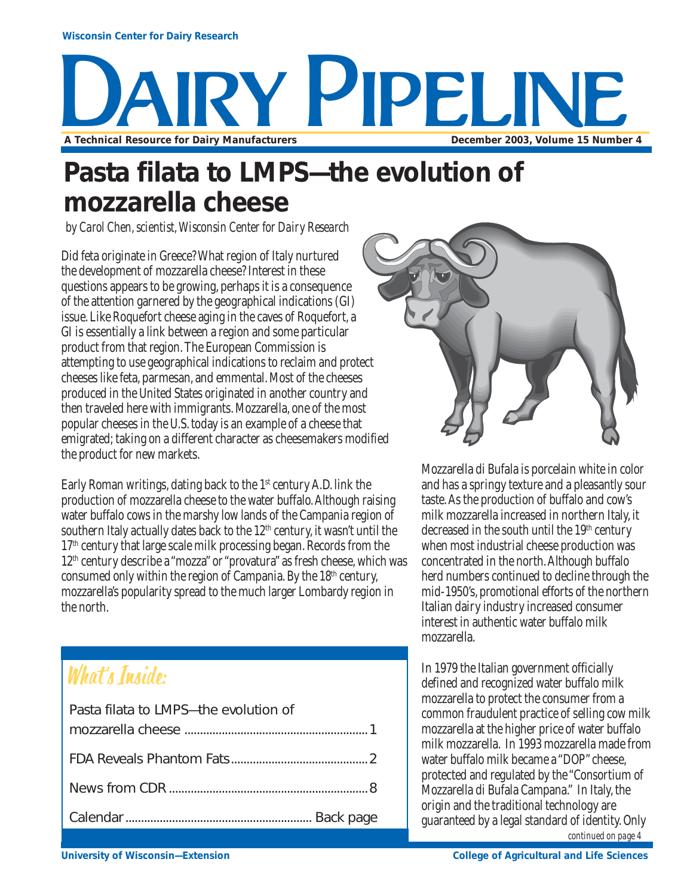# AIRY PIPELINE **A Technical Resource for Dairy Manufacturers <b>December 2003, Volume 15 Number 4**

### **Pasta filata to LMPS—the evolution of mozzarella cheese**

*by Carol Chen, scientist, Wisconsin Center for Dairy Research*

Did feta originate in Greece? What region of Italy nurtured the development of mozzarella cheese? Interest in these questions appears to be growing, perhaps it is a consequence of the attention garnered by the geographical indications (GI) issue. Like Roquefort cheese aging in the caves of Roquefort, a GI is essentially a link between a region and some particular product from that region. The European Commission is attempting to use geographical indications to reclaim and protect cheeses like feta, parmesan, and emmental. Most of the cheeses produced in the United States originated in another country and then traveled here with immigrants. Mozzarella, one of the most popular cheeses in the U.S. today is an example of a cheese that emigrated; taking on a different character as cheesemakers modified the product for new markets.

Early Roman writings, dating back to the  $1<sup>st</sup>$  century A.D. link the production of mozzarella cheese to the water buffalo. Although raising water buffalo cows in the marshy low lands of the Campania region of southern Italy actually dates back to the  $12<sup>th</sup>$  century, it wasn't until the  $17<sup>th</sup>$  century that large scale milk processing began. Records from the 12th century describe a "mozza" or "provatura" as fresh cheese, which was consumed only within the region of Campania. By the  $18<sup>th</sup>$  century, mozzarella's popularity spread to the much larger Lombardy region in the north.

### What's Inside:

| Pasta filata to LMPS-the evolution of |  |
|---------------------------------------|--|
|                                       |  |
|                                       |  |
|                                       |  |
|                                       |  |
|                                       |  |



Mozzarella di Bufala is porcelain white in color and has a springy texture and a pleasantly sour taste. As the production of buffalo and cow's milk mozzarella increased in northern Italy, it decreased in the south until the 19<sup>th</sup> century when most industrial cheese production was concentrated in the north. Although buffalo herd numbers continued to decline through the mid-1950's, promotional efforts of the northern Italian dairy industry increased consumer interest in authentic water buffalo milk mozzarella.

In 1979 the Italian government officially defined and recognized water buffalo milk mozzarella to protect the consumer from a common fraudulent practice of selling cow milk mozzarella at the higher price of water buffalo milk mozzarella. In 1993 mozzarella made from water buffalo milk became a "DOP" cheese, protected and regulated by the "Consortium of Mozzarella di Bufala Campana." In Italy, the origin and the traditional technology are guaranteed by a legal standard of identity. Only *continued on page 4*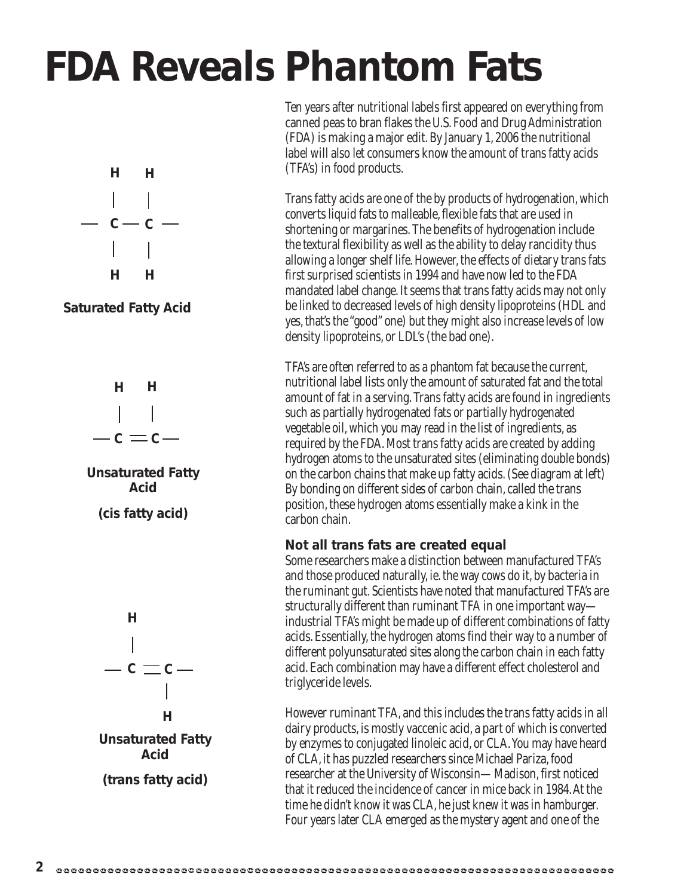# **FDA Reveals Phantom Fats**



**Saturated Fatty Acid**





**(cis fatty acid)**



Ten years after nutritional labels first appeared on everything from canned peas to bran flakes the U.S. Food and Drug Administration (FDA) is making a major edit. By January 1, 2006 the nutritional label will also let consumers know the amount of trans fatty acids (TFA's) in food products.

Trans fatty acids are one of the by products of hydrogenation, which converts liquid fats to malleable, flexible fats that are used in shortening or margarines. The benefits of hydrogenation include the textural flexibility as well as the ability to delay rancidity thus allowing a longer shelf life. However, the effects of dietary trans fats first surprised scientists in 1994 and have now led to the FDA mandated label change. It seems that trans fatty acids may not only be linked to decreased levels of high density lipoproteins (HDL and yes, that's the "good" one) but they might also increase levels of low density lipoproteins, or LDL's (the bad one).

TFA's are often referred to as a phantom fat because the current, nutritional label lists only the amount of saturated fat and the total amount of fat in a serving. Trans fatty acids are found in ingredients such as partially hydrogenated fats or partially hydrogenated vegetable oil, which you may read in the list of ingredients, as required by the FDA. Most trans fatty acids are created by adding hydrogen atoms to the unsaturated sites (eliminating double bonds) on the carbon chains that make up fatty acids. (See diagram at left) By bonding on different sides of carbon chain, called the trans position, these hydrogen atoms essentially make a kink in the carbon chain.

#### **Not all trans fats are created equal**

Some researchers make a distinction between manufactured TFA's and those produced naturally, ie. the way cows do it, by bacteria in the ruminant gut. Scientists have noted that manufactured TFA's are structurally different than ruminant TFA in one important way industrial TFA's might be made up of different combinations of fatty acids. Essentially, the hydrogen atoms find their way to a number of different polyunsaturated sites along the carbon chain in each fatty acid. Each combination may have a different effect cholesterol and triglyceride levels.

However ruminant TFA, and this includes the trans fatty acids in all dairy products, is mostly vaccenic acid, a part of which is converted by enzymes to conjugated linoleic acid, or CLA. You may have heard of CLA, it has puzzled researchers since Michael Pariza, food researcher at the University of Wisconsin—Madison, first noticed that it reduced the incidence of cancer in mice back in 1984. At the time he didn't know it was CLA, he just knew it was in hamburger. Four years later CLA emerged as the mystery agent and one of the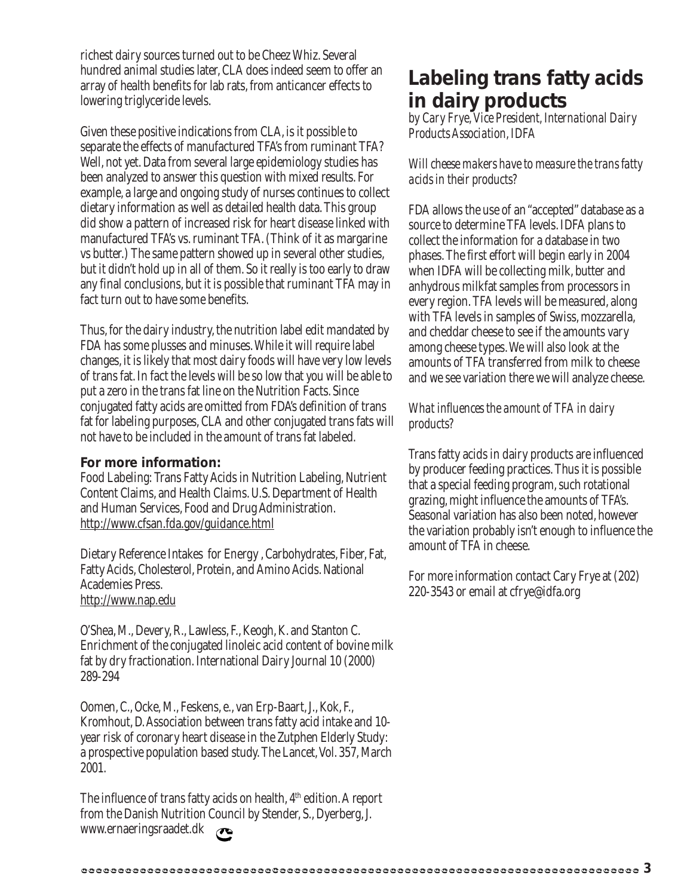richest dairy sources turned out to be Cheez Whiz. Several hundred animal studies later, CLA does indeed seem to offer an array of health benefits for lab rats, from anticancer effects to lowering triglyceride levels.

Given these positive indications from CLA, is it possible to separate the effects of manufactured TFA's from ruminant TFA? Well, not yet. Data from several large epidemiology studies has been analyzed to answer this question with mixed results. For example, a large and ongoing study of nurses continues to collect dietary information as well as detailed health data. This group did show a pattern of increased risk for heart disease linked with manufactured TFA's vs. ruminant TFA. (Think of it as margarine vs butter.) The same pattern showed up in several other studies, but it didn't hold up in all of them. So it really is too early to draw any final conclusions, but it is possible that ruminant TFA may in fact turn out to have some benefits.

Thus, for the dairy industry, the nutrition label edit mandated by FDA has some plusses and minuses. While it will require label changes, it is likely that most dairy foods will have very low levels of trans fat. In fact the levels will be so low that you will be able to put a zero in the trans fat line on the Nutrition Facts. Since conjugated fatty acids are omitted from FDA's definition of trans fat for labeling purposes, CLA and other conjugated trans fats will not have to be included in the amount of trans fat labeled.

#### **For more information:**

Food Labeling: Trans Fatty Acids in Nutrition Labeling, Nutrient Content Claims, and Health Claims. U.S. Department of Health and Human Services, Food and Drug Administration. http://www.cfsan.fda.gov/guidance.html

Dietary Reference Intakes for Energy , Carbohydrates, Fiber, Fat, Fatty Acids, Cholesterol, Protein, and Amino Acids. National Academies Press. http://www.nap.edu

O'Shea, M., Devery, R., Lawless, F., Keogh, K. and Stanton C. Enrichment of the conjugated linoleic acid content of bovine milk fat by dry fractionation. International Dairy Journal 10 (2000) 289-294

Oomen, C., Ocke, M., Feskens, e., van Erp-Baart, J., Kok, F., Kromhout, D. Association between trans fatty acid intake and 10 year risk of coronary heart disease in the Zutphen Elderly Study: a prospective population based study. The Lancet, Vol. 357, March 2001.

The influence of trans fatty acids on health, 4<sup>th</sup> edition. A report from the Danish Nutrition Council by Stender, S., Dyerberg, J. www.ernaeringsraadet.dk  $\mathbf{\sigma}$ 

### **Labeling trans fatty acids in dairy products**

*by Cary Frye, Vice President, International Dairy Products Association, IDFA*

*Will cheese makers have to measure the trans fatty acids in their products?*

FDA allows the use of an "accepted" database as a source to determine TFA levels. IDFA plans to collect the information for a database in two phases. The first effort will begin early in 2004 when IDFA will be collecting milk, butter and anhydrous milkfat samples from processors in every region. TFA levels will be measured, along with TFA levels in samples of Swiss, mozzarella, and cheddar cheese to see if the amounts vary among cheese types. We will also look at the amounts of TFA transferred from milk to cheese and we see variation there we will analyze cheese.

### *What influences the amount of TFA in dairy products?*

Trans fatty acids in dairy products are influenced by producer feeding practices. Thus it is possible that a special feeding program, such rotational grazing, might influence the amounts of TFA's. Seasonal variation has also been noted, however the variation probably isn't enough to influence the amount of TFA in cheese.

For more information contact Cary Frye at (202) 220-3543 or email at cfrye@idfa.org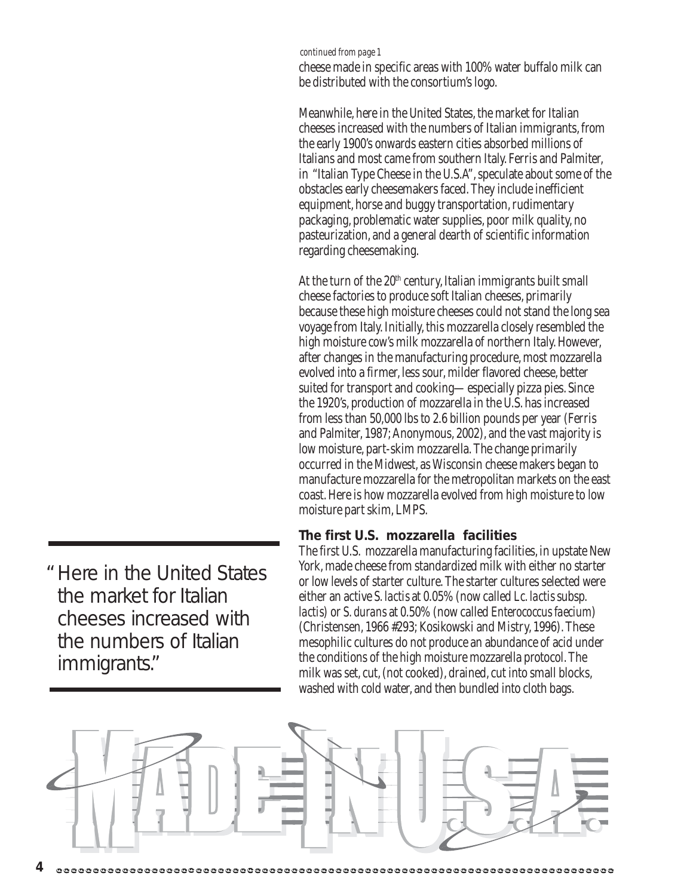#### *continued from page 1*

cheese made in specific areas with 100% water buffalo milk can be distributed with the consortium's logo.

Meanwhile, here in the United States, the market for Italian cheeses increased with the numbers of Italian immigrants, from the early 1900's onwards eastern cities absorbed millions of Italians and most came from southern Italy. Ferris and Palmiter, in "Italian Type Cheese in the U.S.A", speculate about some of the obstacles early cheesemakers faced. They include inefficient equipment, horse and buggy transportation, rudimentary packaging, problematic water supplies, poor milk quality, no pasteurization, and a general dearth of scientific information regarding cheesemaking.

At the turn of the  $20<sup>th</sup>$  century, Italian immigrants built small cheese factories to produce soft Italian cheeses, primarily because these high moisture cheeses could not stand the long sea voyage from Italy. Initially, this mozzarella closely resembled the high moisture cow's milk mozzarella of northern Italy. However, after changes in the manufacturing procedure, most mozzarella evolved into a firmer, less sour, milder flavored cheese, better suited for transport and cooking—especially pizza pies. Since the 1920's, production of mozzarella in the U.S. has increased from less than 50,000 lbs to 2.6 billion pounds per year (Ferris and Palmiter, 1987; Anonymous, 2002), and the vast majority is low moisture, part-skim mozzarella. The change primarily occurred in the Midwest, as Wisconsin cheese makers began to manufacture mozzarella for the metropolitan markets on the east coast. Here is how mozzarella evolved from high moisture to low moisture part skim, LMPS.

#### **The first U.S. mozzarella facilities**

The first U.S. mozzarella manufacturing facilities, in upstate New York, made cheese from standardized milk with either no starter or low levels of starter culture. The starter cultures selected were either an active *S. lactis* at 0.05% (now called *Lc. lactis* subsp. *lactis*) or *S. durans* at 0.50% (now called *Enterococcus faecium*) (Christensen, 1966 #293; Kosikowski and Mistry, 1996). These mesophilic cultures do not produce an abundance of acid under the conditions of the high moisture mozzarella protocol. The milk was set, cut, (not cooked), drained, cut into small blocks, washed with cold water, and then bundled into cloth bags.



Here in the United States "the market for Italian cheeses increased with the numbers of Italian immigrants."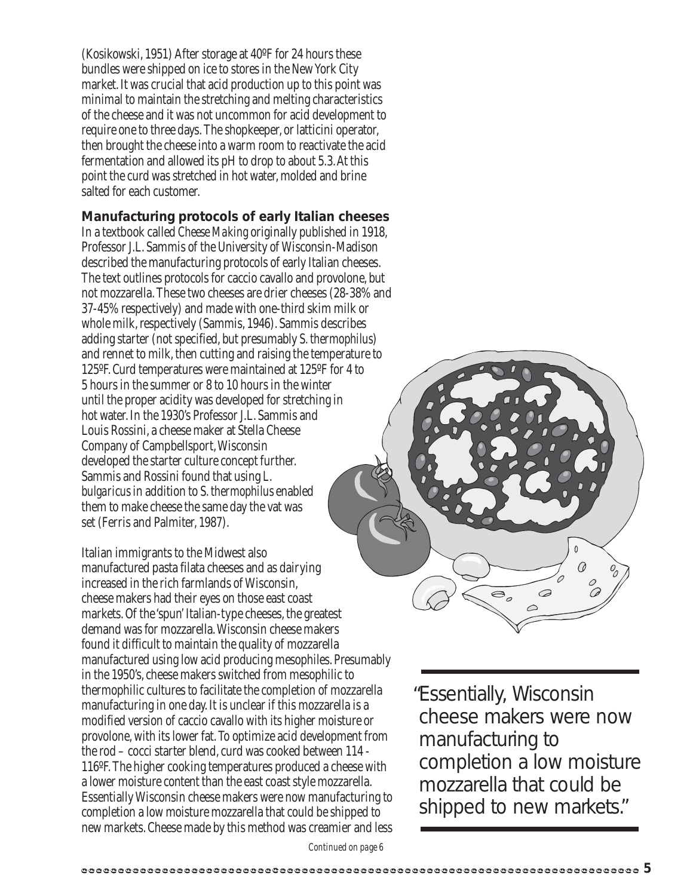(Kosikowski, 1951) After storage at 40ºF for 24 hours these bundles were shipped on ice to stores in the New York City market. It was crucial that acid production up to this point was minimal to maintain the stretching and melting characteristics of the cheese and it was not uncommon for acid development to require one to three days. The shopkeeper, or latticini operator, then brought the cheese into a warm room to reactivate the acid fermentation and allowed its pH to drop to about 5.3. At this point the curd was stretched in hot water, molded and brine salted for each customer.

#### **Manufacturing protocols of early Italian cheeses**

In a textbook called *Cheese Making* originally published in 1918, Professor J.L. Sammis of the University of Wisconsin-Madison described the manufacturing protocols of early Italian cheeses. The text outlines protocols for caccio cavallo and provolone, but not mozzarella. These two cheeses are drier cheeses (28-38% and 37-45% respectively) and made with one-third skim milk or whole milk, respectively (Sammis, 1946). Sammis describes adding starter (not specified, but presumably *S. thermophilus*) and rennet to milk, then cutting and raising the temperature to 125ºF. Curd temperatures were maintained at 125ºF for 4 to 5 hours in the summer or 8 to 10 hours in the winter until the proper acidity was developed for stretching in hot water. In the 1930's Professor J.L. Sammis and Louis Rossini, a cheese maker at Stella Cheese Company of Campbellsport, Wisconsin developed the starter culture concept further. Sammis and Rossini found that using *L. bulgaricus* in addition to *S. thermophilus*enabled them to make cheese the same day the vat was set (Ferris and Palmiter, 1987).

Italian immigrants to the Midwest also manufactured pasta filata cheeses and as dairying increased in the rich farmlands of Wisconsin, cheese makers had their eyes on those east coast markets. Of the 'spun' Italian-type cheeses, the greatest demand was for mozzarella. Wisconsin cheese makers found it difficult to maintain the quality of mozzarella manufactured using low acid producing mesophiles. Presumably in the 1950's, cheese makers switched from mesophilic to thermophilic cultures to facilitate the completion of mozzarella manufacturing in one day. It is unclear if this mozzarella is a modified version of caccio cavallo with its higher moisture or provolone, with its lower fat. To optimize acid development from the rod – cocci starter blend, curd was cooked between 114 - 116ºF. The higher cooking temperatures produced a cheese with a lower moisture content than the east coast style mozzarella. Essentially Wisconsin cheese makers were now manufacturing to completion a low moisture mozzarella that could be shipped to new markets. Cheese made by this method was creamier and less

Essentially, Wisconsin " cheese makers were now manufacturing to completion a low moisture mozzarella that could be shipped to new markets."

 $\overline{\mathfrak{S}_{o}}$ 

 $\Omega$  $\varOmega$ 

6  $\curvearrowright$ 

*Continued on page 6*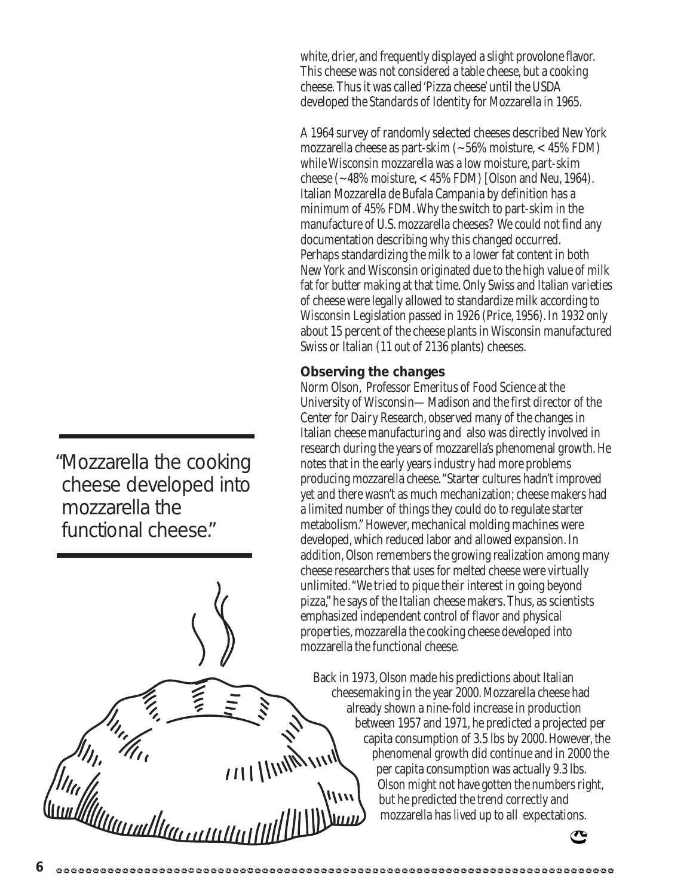white, drier, and frequently displayed a slight provolone flavor. This cheese was not considered a table cheese, but a cooking cheese. Thus it was called 'Pizza cheese' until the USDA developed the Standards of Identity for Mozzarella in 1965.

A 1964 survey of randomly selected cheeses described New York mozzarella cheese as part-skim (~56% moisture, < 45% FDM) while Wisconsin mozzarella was a low moisture, part-skim cheese (~48% moisture, < 45% FDM) [Olson and Neu, 1964). Italian Mozzarella de Bufala Campania by definition has a minimum of 45% FDM. Why the switch to part-skim in the manufacture of U.S. mozzarella cheeses? We could not find any documentation describing why this changed occurred. Perhaps standardizing the milk to a lower fat content in both New York and Wisconsin originated due to the high value of milk fat for butter making at that time. Only Swiss and Italian varieties of cheese were legally allowed to standardize milk according to Wisconsin Legislation passed in 1926 (Price, 1956). In 1932 only about 15 percent of the cheese plants in Wisconsin manufactured Swiss or Italian (11 out of 2136 plants) cheeses.

### **Observing the changes**

Norm Olson, Professor Emeritus of Food Science at the University of Wisconsin—Madison and the first director of the Center for Dairy Research, observed many of the changes in Italian cheese manufacturing and also was directly involved in research during the years of mozzarella's phenomenal growth. He notes that in the early years industry had more problems producing mozzarella cheese. "Starter cultures hadn't improved yet and there wasn't as much mechanization; cheese makers had a limited number of things they could do to regulate starter metabolism." However, mechanical molding machines were developed, which reduced labor and allowed expansion. In addition, Olson remembers the growing realization among many cheese researchers that uses for melted cheese were virtually unlimited. "We tried to pique their interest in going beyond pizza," he says of the Italian cheese makers. Thus, as scientists emphasized independent control of flavor and physical properties, mozzarella the cooking cheese developed into mozzarella the functional cheese.

Back in 1973, Olson made his predictions about Italian cheesemaking in the year 2000. Mozzarella cheese had already shown a nine-fold increase in production between 1957 and 1971, he predicted a projected per capita consumption of 3.5 lbs by 2000. However, the phenomenal growth did continue and in 2000 the per capita consumption was actually 9.3 lbs. Olson might not have gotten the numbers right, but he predicted the trend correctly and mozzarella has lived up to all expectations.



Mozzarella the cooking "cheese developed into mozzarella the functional cheese."

 $111$  | |  $111$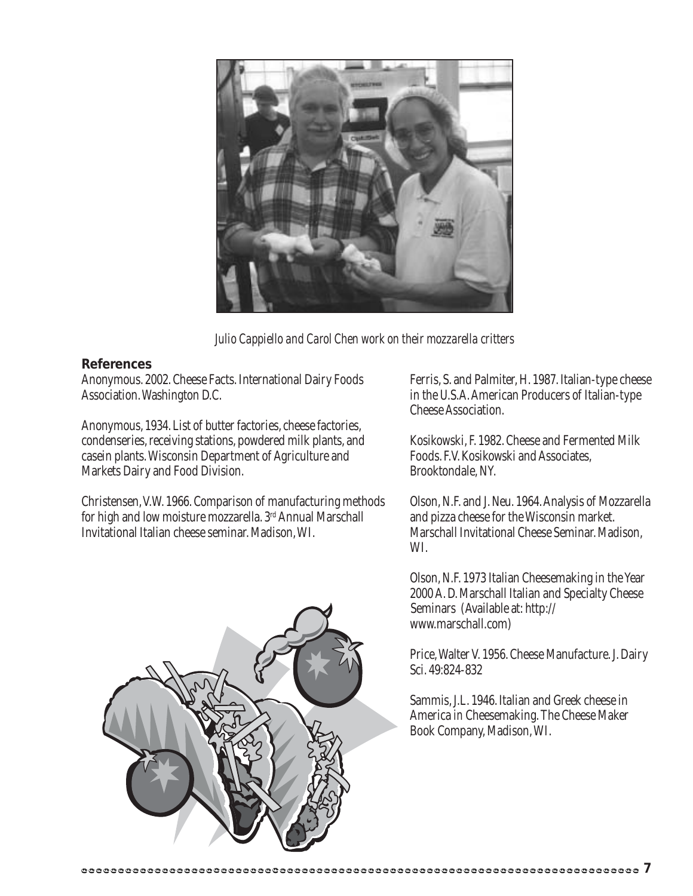

*Julio Cappiello and Carol Chen work on their mozzarella critters*

#### **References**

Anonymous. 2002. Cheese Facts. International Dairy Foods Association. Washington D.C.

Anonymous, 1934. List of butter factories, cheese factories, condenseries, receiving stations, powdered milk plants, and casein plants. Wisconsin Department of Agriculture and Markets Dairy and Food Division.

Christensen, V.W. 1966. Comparison of manufacturing methods for high and low moisture mozzarella. 3rd Annual Marschall Invitational Italian cheese seminar. Madison, WI.

Ferris, S. and Palmiter, H. 1987. Italian-type cheese in the U.S.A. American Producers of Italian-type Cheese Association.

Kosikowski, F. 1982. Cheese and Fermented Milk Foods. F.V. Kosikowski and Associates, Brooktondale, NY.

Olson, N.F. and J. Neu. 1964. Analysis of Mozzarella and pizza cheese for the Wisconsin market. Marschall Invitational Cheese Seminar. Madison, WI.

Olson, N.F. 1973 Italian Cheesemaking in the Year 2000 A. D. Marschall Italian and Specialty Cheese Seminars (Available at: http:// www.marschall.com)

Price, Walter V. 1956. Cheese Manufacture. J. Dairy Sci. 49:824-832

Sammis, J.L. 1946. Italian and Greek cheese in America *in* Cheesemaking. The Cheese Maker Book Company, Madison, WI.

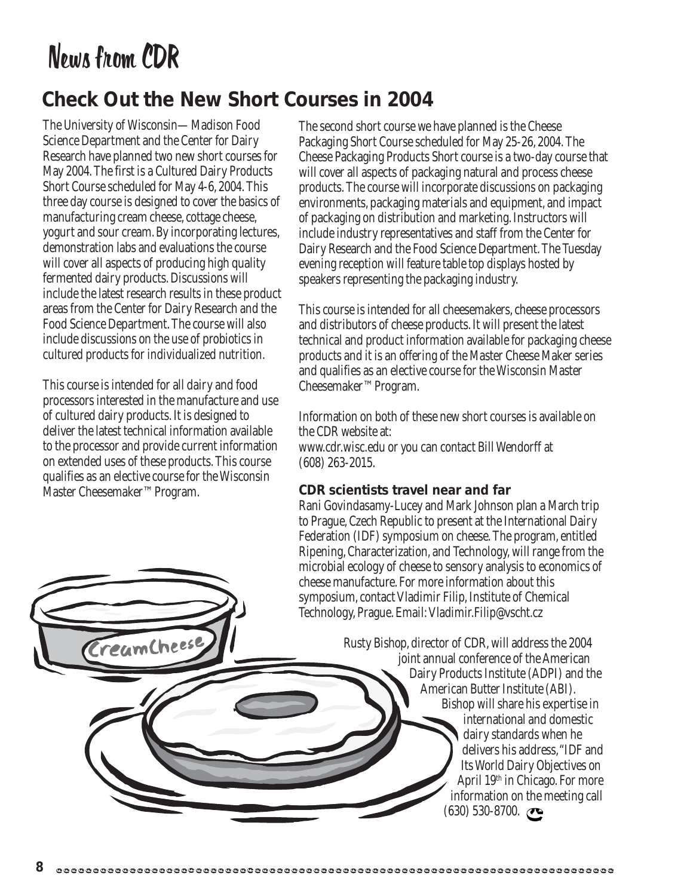## News from CDR

### **Check Out the New Short Courses in 2004**

The University of Wisconsin—Madison Food Science Department and the Center for Dairy Research have planned two new short courses for May 2004. The first is a Cultured Dairy Products Short Course scheduled for May 4-6, 2004. This three day course is designed to cover the basics of manufacturing cream cheese, cottage cheese, yogurt and sour cream. By incorporating lectures, demonstration labs and evaluations the course will cover all aspects of producing high quality fermented dairy products. Discussions will include the latest research results in these product areas from the Center for Dairy Research and the Food Science Department. The course will also include discussions on the use of probiotics in cultured products for individualized nutrition.

This course is intended for all dairy and food processors interested in the manufacture and use of cultured dairy products. It is designed to deliver the latest technical information available to the processor and provide current information on extended uses of these products. This course qualifies as an elective course for the Wisconsin Master Cheesemaker™ Program.

reumCheese

The second short course we have planned is the Cheese Packaging Short Course scheduled for May 25-26, 2004. The Cheese Packaging Products Short course is a two-day course that will cover all aspects of packaging natural and process cheese products. The course will incorporate discussions on packaging environments, packaging materials and equipment, and impact of packaging on distribution and marketing. Instructors will include industry representatives and staff from the Center for Dairy Research and the Food Science Department. The Tuesday evening reception will feature table top displays hosted by speakers representing the packaging industry.

This course is intended for all cheesemakers, cheese processors and distributors of cheese products. It will present the latest technical and product information available for packaging cheese products and it is an offering of the Master Cheese Maker series and qualifies as an elective course for the Wisconsin Master Cheesemaker™ Program.

Information on both of these new short courses is available on the CDR website at:

www.cdr.wisc.edu or you can contact Bill Wendorff at (608) 263-2015.

### **CDR scientists travel near and far**

Rani Govindasamy-Lucey and Mark Johnson plan a March trip to Prague, Czech Republic to present at the International Dairy Federation (IDF) symposium on cheese. The program, entitled Ripening, Characterization, and Technology, will range from the microbial ecology of cheese to sensory analysis to economics of cheese manufacture. For more information about this symposium, contact Vladimir Filip, Institute of Chemical Technology, Prague. Email: Vladimir.Filip@vscht.cz

> Rusty Bishop, director of CDR, will address the 2004 joint annual conference of the American Dairy Products Institute (ADPI) and the American Butter Institute (ABI). Bishop will share his expertise in international and domestic dairy standards when he delivers his address, "IDF and Its World Dairy Objectives on April 19th in Chicago. For more information on the meeting call (630) 530-8700.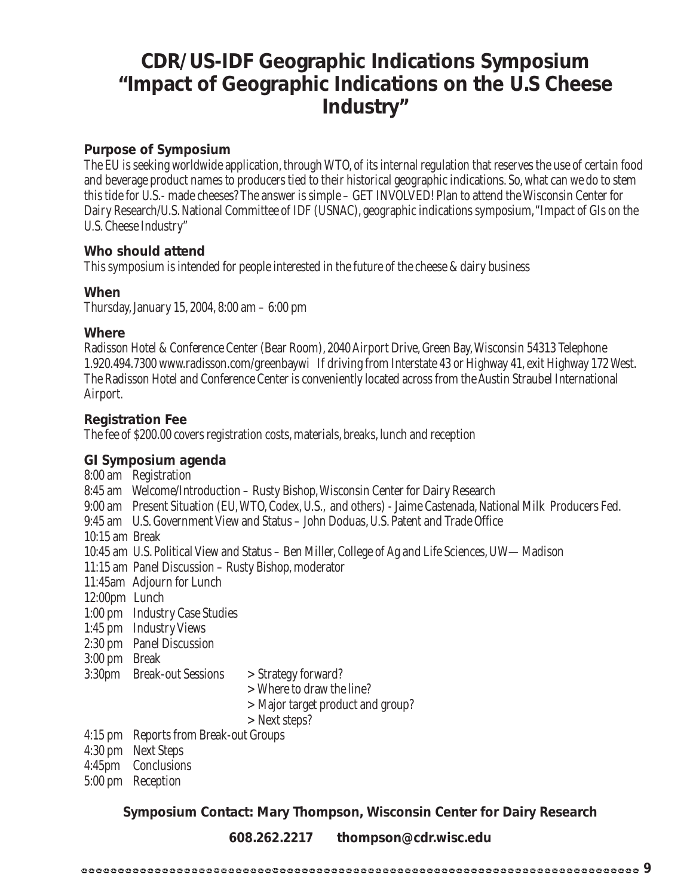### **CDR/US-IDF Geographic Indications Symposium "Impact of Geographic Indications on the U.S Cheese Industry"**

### **Purpose of Symposium**

The EU is seeking worldwide application, through WTO, of its internal regulation that reserves the use of certain food and beverage product names to producers tied to their historical geographic indications. So, what can we do to stem this tide for U.S.- made cheeses? The answer is simple – GET INVOLVED! Plan to attend the Wisconsin Center for Dairy Research/U.S. National Committee of IDF (USNAC), geographic indications symposium, "Impact of GIs on the U.S. Cheese Industry"

### **Who should attend**

This symposium is intended for people interested in the future of the cheese & dairy business

### **When**

Thursday, January 15, 2004, 8:00 am – 6:00 pm

### **Where**

Radisson Hotel & Conference Center (Bear Room), 2040 Airport Drive, Green Bay,Wisconsin 54313 Telephone 1.920.494.7300 www.radisson.com/greenbaywi If driving from Interstate 43 or Highway 41, exit Highway 172 West. The Radisson Hotel and Conference Center is conveniently located across from the Austin Straubel International Airport.

### **Registration Fee**

The fee of \$200.00 covers registration costs, materials, breaks, lunch and reception

### **GI Symposium agenda**

- 8:00 am Registration 8:45 am Welcome/Introduction – Rusty Bishop, Wisconsin Center for Dairy Research 9:00 am Present Situation (EU, WTO, Codex, U.S., and others) - Jaime Castenada, National Milk Producers Fed. 9:45 am U.S. Government View and Status – John Doduas, U.S. Patent and Trade Office 10:15 am Break 10:45 am U.S. Political View and Status – Ben Miller, College of Ag and Life Sciences, UW—Madison 11:15 am Panel Discussion – Rusty Bishop, moderator 11:45am Adjourn for Lunch 12:00pm Lunch 1:00 pm Industry Case Studies 1:45 pm Industry Views 2:30 pm Panel Discussion 3:00 pm Break 3:30pm Break-out Sessions > Strategy forward? > Where to draw the line? > Major target product and group? > Next steps? 4:15 pm Reports from Break-out Groups 4:30 pm Next Steps
- 4:45pm Conclusions
- 5:00 pm Reception

**Symposium Contact: Mary Thompson, Wisconsin Center for Dairy Research**

**608.262.2217 thompson@cdr.wisc.edu**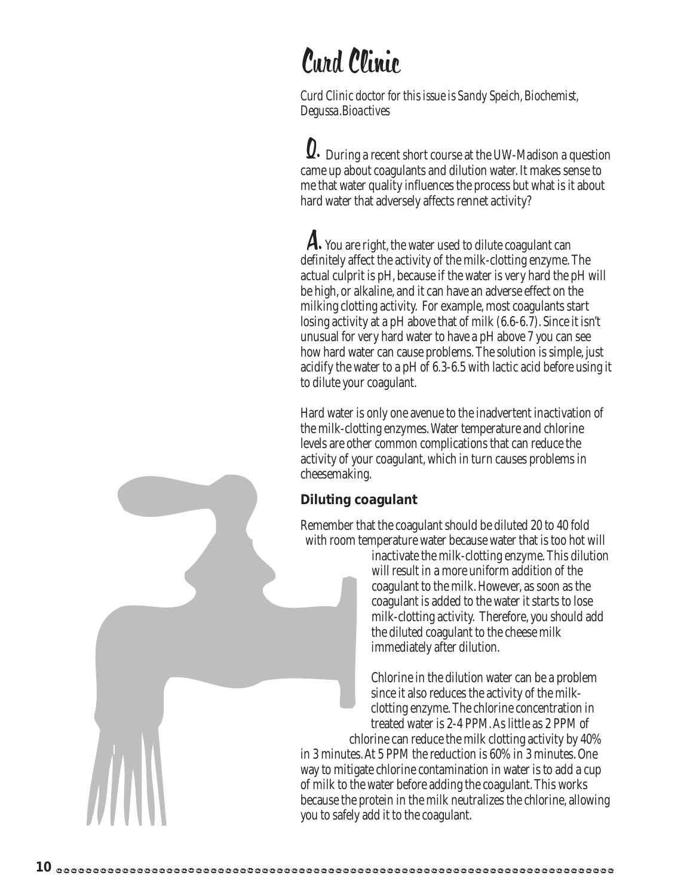## Curd Clinic

*Curd Clinic doctor for this issue is Sandy Speich, Biochemist, Degussa.Bioactives*

Q. During a recent short course at the UW-Madison a question came up about coagulants and dilution water. It makes sense to me that water quality influences the process but what is it about hard water that adversely affects rennet activity?

A. You are right, the water used to dilute coagulant can definitely affect the activity of the milk-clotting enzyme. The actual culprit is pH, because if the water is very hard the pH will be high, or alkaline, and it can have an adverse effect on the milking clotting activity. For example, most coagulants start losing activity at a pH above that of milk (6.6-6.7). Since it isn't unusual for very hard water to have a pH above 7 you can see how hard water can cause problems. The solution is simple, just acidify the water to a pH of 6.3-6.5 with lactic acid before using it to dilute your coagulant.

Hard water is only one avenue to the inadvertent inactivation of the milk-clotting enzymes. Water temperature and chlorine levels are other common complications that can reduce the activity of your coagulant, which in turn causes problems in cheesemaking.

### **Diluting coagulant**

Remember that the coagulant should be diluted 20 to 40 fold with room temperature water because water that is too hot will

inactivate the milk-clotting enzyme. This dilution will result in a more uniform addition of the coagulant to the milk. However, as soon as the coagulant is added to the water it starts to lose milk-clotting activity. Therefore, you should add the diluted coagulant to the cheese milk immediately after dilution.

Chlorine in the dilution water can be a problem since it also reduces the activity of the milkclotting enzyme. The chlorine concentration in treated water is 2-4 PPM. As little as 2 PPM of chlorine can reduce the milk clotting activity by 40% in 3 minutes. At 5 PPM the reduction is 60% in 3 minutes. One way to mitigate chlorine contamination in water is to add a cup of milk to the water before adding the coagulant. This works because the protein in the milk neutralizes the chlorine, allowing you to safely add it to the coagulant.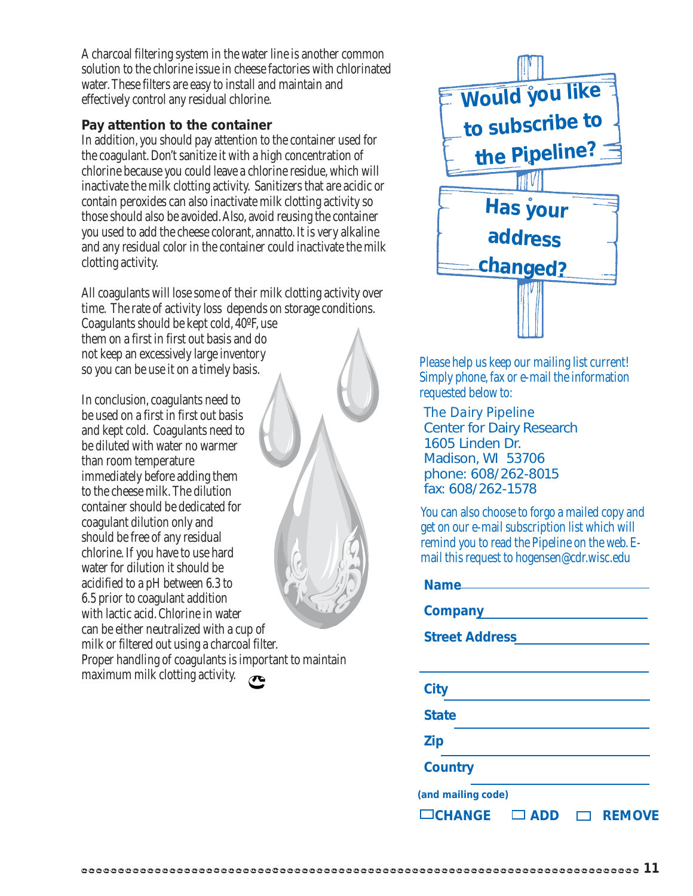A charcoal filtering system in the water line is another common solution to the chlorine issue in cheese factories with chlorinated water. These filters are easy to install and maintain and effectively control any residual chlorine.

### **Pay attention to the container**

In addition, you should pay attention to the container used for the coagulant. Don't sanitize it with a high concentration of chlorine because you could leave a chlorine residue, which will inactivate the milk clotting activity. Sanitizers that are acidic or contain peroxides can also inactivate milk clotting activity so those should also be avoided. Also, avoid reusing the container you used to add the cheese colorant, annatto. It is very alkaline and any residual color in the container could inactivate the milk clotting activity.

All coagulants will lose some of their milk clotting activity over time. The rate of activity loss depends on storage conditions.

Coagulants should be kept cold, 40ºF, use them on a first in first out basis and do not keep an excessively large inventory so you can be use it on a timely basis.

In conclusion, coagulants need to be used on a first in first out basis and kept cold. Coagulants need to be diluted with water no warmer than room temperature immediately before adding them to the cheese milk. The dilution container should be dedicated for coagulant dilution only and should be free of any residual chlorine. If you have to use hard water for dilution it should be acidified to a pH between 6.3 to 6.5 prior to coagulant addition with lactic acid. Chlorine in water can be either neutralized with a cup of milk or filtered out using a charcoal filter. Proper handling of coagulants is important to maintain

maximum milk clotting activity.

 $\bullet$ 



Please help us keep our mailing list current! Simply phone, fax or e-mail the information requested below to:

*The Dairy Pipeline* Center for Dairy Research 1605 Linden Dr. Madison, WI 53706 phone: 608/262-8015 fax: 608/262-1578

You can also choose to forgo a mailed copy and get on our e-mail subscription list which will remind you to read the Pipeline on the web. Email this request to hogensen@cdr.wisc.edu

| Name                        |               |
|-----------------------------|---------------|
| <b>Company</b>              |               |
| <b>Street Address</b>       |               |
|                             |               |
| <b>City</b>                 |               |
| <b>State</b>                |               |
| <b>Zip</b>                  |               |
| <b>Country</b>              |               |
| (and mailing code)          |               |
| $\Box$ CHANGE<br><b>ADD</b> | <b>REMOVE</b> |